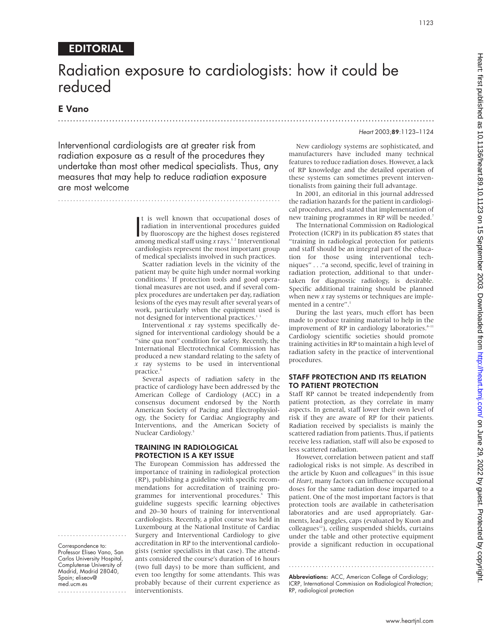# EDITORIAL

# Radiation exposure to cardiologists: how it could be reduced

.............................................................................................................................

# E Vano

#### Heart 2003;89:1123–1124

Interventional cardiologists are at greater risk from radiation exposure as a result of the procedures they undertake than most other medical specialists. Thus, any measures that may help to reduce radiation exposure are most welcome

..........................................................................

It is well known that occupational doses of<br>radiation in interventional procedures guided<br>by fluoroscopy are the highest doses registered<br>among medical staff using x rays <sup>1,2</sup> Interventional t is well known that occupational doses of radiation in interventional procedures guided among medical staff using x rays.<sup>12</sup> Interventional cardiologists represent the most important group of medical specialists involved in such practices.

Scatter radiation levels in the vicinity of the patient may be quite high under normal working conditions.<sup>1</sup> If protection tools and good operational measures are not used, and if several complex procedures are undertaken per day, radiation lesions of the eyes may result after several years of work, particularly when the equipment used is not designed for interventional practices.<sup>1</sup>

Interventional  $x$  ray systems specifically designed for interventional cardiology should be a "sine qua non" condition for safety. Recently, the International Electrotechnical Commission has produced a new standard relating to the safety of *x* ray systems to be used in interventional practice.4

Several aspects of radiation safety in the practice of cardiology have been addressed by the American College of Cardiology (ACC) in a consensus document endorsed by the North American Society of Pacing and Electrophysiology, the Society for Cardiac Angiography and Interventions, and the American Society of Nuclear Cardiology.<sup>5</sup>

# TRAINING IN RADIOLOGICAL PROTECTION IS A KEY ISSUE

The European Commission has addressed the importance of training in radiological protection (RP), publishing a guideline with specific recommendations for accreditation of training programmes for interventional procedures.<sup>6</sup> This guideline suggests specific learning objectives and 20–30 hours of training for interventional cardiologists. Recently, a pilot course was held in Luxembourg at the National Institute of Cardiac Surgery and Interventional Cardiology to give accreditation in RP to the interventional cardiologists (senior specialists in that case). The attendants considered the course's duration of 16 hours (two full days) to be more than sufficient, and even too lengthy for some attendants. This was probably because of their current experience as interventionists.

New cardiology systems are sophisticated, and manufacturers have included many technical features to reduce radiation doses. However, a lack of RP knowledge and the detailed operation of these systems can sometimes prevent interventionalists from gaining their full advantage.

In 2001, an editorial in this journal addressed the radiation hazards for the patient in cardiological procedures, and stated that implementation of new training programmes in RP will be needed.<sup>7</sup>

The International Commission on Radiological Protection (ICRP) in its publication 85 states that "training in radiological protection for patients and staff should be an integral part of the education for those using interventional techniques" . . ."a second, specific, level of training in radiation protection, additional to that undertaken for diagnostic radiology, is desirable. Specific additional training should be planned when new *x* ray systems or techniques are implemented in a centre".<sup>1</sup>

During the last years, much effort has been made to produce training material to help in the improvement of RP in cardiology laboratories. $8-11$ Cardiology scientific societies should promote training activities in RP to maintain a high level of radiation safety in the practice of interventional procedures.

## STAFF PROTECTION AND ITS RELATION TO PATIENT PROTECTION

Staff RP cannot be treated independently from patient protection, as they correlate in many aspects. In general, staff lower their own level of risk if they are aware of RP for their patients. Radiation received by specialists is mainly the scattered radiation from patients. Thus, if patients receive less radiation, staff will also be exposed to less scattered radiation.

However, correlation between patient and staff radiological risks is not simple. As described in the article by Kuon and colleagues $12$  in this issue of *Heart*, many factors can influence occupational doses for the same radiation dose imparted to a patient. One of the most important factors is that protection tools are available in catheterisation laboratories and are used appropriately. Garments, lead goggles, caps (evaluated by Kuon and  $colleagues<sup>12</sup>$ , ceiling suspended shields, curtains under the table and other protective equipment provide a significant reduction in occupational

Abbreviations: ACC, American College of Cardiology; ICRP, International Commission on Radiological Protection; RP, radiological protection

.................................................

Professor Eliseo Vano, San Carlos University Hospital, Complutense University of Madrid, Madrid 28040, Spain; eliseov@ med.ucm.es

....................... Correspondence to:

.......................